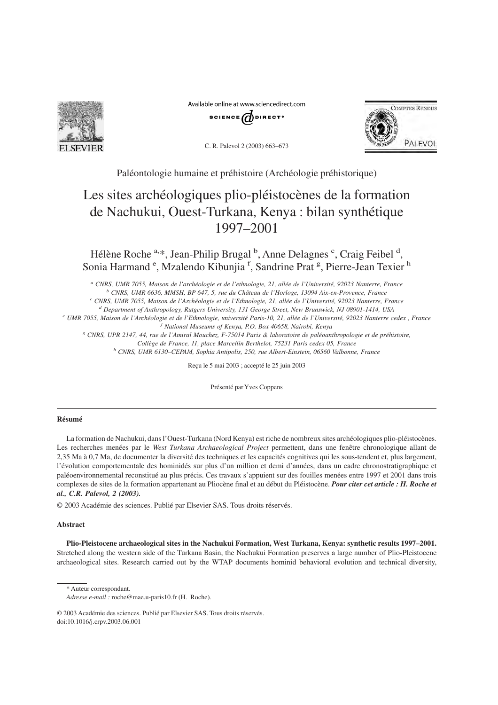

Available online at www.sciencedirect.com





C. R. Palevol 2 (2003) 663–673

Paléontologie humaine et préhistoire (Archéologie préhistorique)

# Les sites archéologiques plio-pléistocènes de la formation de Nachukui, Ouest-Turkana, Kenya : bilan synthétique 1997–2001

Hélène Roche <sup>a,\*</sup>, Jean-Philip Brugal <sup>b</sup>, Anne Delagnes <sup>c</sup>, Craig Feibel <sup>d</sup>, Sonia Harmand<sup>e</sup>, Mzalendo Kibunjia<sup>f</sup>, Sandrine Prat<sup>g</sup>, Pierre-Jean Texier<sup>h</sup>

*<sup>a</sup> CNRS, UMR 7055, Maison de l'archéologie et de l'ethnologie, 21, allée de l'Université, 92023 Nanterre, France*

*<sup>b</sup> CNRS, UMR 6636, MMSH, BP 647, 5, rue du Château de l'Horloge, 13094 Aix-en-Provence, France*

*<sup>c</sup> CNRS, UMR 7055, Maison de l'Archéologie et de l'Ethnologie, 21, allée de l'Université, 92023 Nanterre, France*

*<sup>d</sup> Department of Anthropology, Rutgers University, 131 George Street, New Brunswick, NJ 08901-1414, USA*

*<sup>e</sup> UMR 7055, Maison de l'Archéologie et de l'Ethnologie, université Paris-10, 21, allée de l'Université, 92023 Nanterre cedex , France <sup>f</sup> National Museums of Kenya, P.O. Box 40658, Nairobi, Kenya*

*<sup>g</sup> CNRS, UPR 2147, 44, rue de l'Amiral Mouchez, F-75014 Paris & laboratoire de paléoanthropologie et de préhistoire,*

*Collège de France, 11, place Marcellin Berthelot, 75231 Paris cedex 05, France*

*<sup>h</sup> CNRS, UMR 6130–CEPAM, Sophia Antipolis, 250, rue Albert-Einstein, 06560 Valbonne, France*

Reçu le 5 mai 2003 ; accepté le 25 juin 2003

Présenté par Yves Coppens

# **Résumé**

La formation de Nachukui, dans l'Ouest-Turkana (Nord Kenya) est riche de nombreux sites archéologiques plio-pléistocènes. Les recherches menées par le *West Turkana Archaeological Project* permettent, dans une fenêtre chronologique allant de 2,35 Ma à 0,7 Ma, de documenter la diversité des techniques et les capacités cognitives qui les sous-tendent et, plus largement, l'évolution comportementale des hominidés sur plus d'un million et demi d'années, dans un cadre chronostratigraphique et paléoenvironnemental reconstitué au plus précis. Ces travaux s'appuient sur des fouilles menées entre 1997 et 2001 dans trois complexes de sites de la formation appartenant au Pliocène final et au début du Pléistocène. *Pour citer cet article : H. Roche et al., C.R. Palevol, 2 (2003).*

© 2003 Académie des sciences. Publié par Elsevier SAS. Tous droits réservés.

## **Abstract**

**Plio-Pleistocene archaeological sites in the Nachukui Formation, West Turkana, Kenya: synthetic results 1997–2001.** Stretched along the western side of the Turkana Basin, the Nachukui Formation preserves a large number of Plio-Pleistocene archaeological sites. Research carried out by the WTAP documents hominid behavioral evolution and technical diversity,

\* Auteur correspondant.

*Adresse e-mail :* roche@mae.u-paris10.fr (H. Roche).

<sup>© 2003</sup> Académie des sciences. Publié par Elsevier SAS. Tous droits réservés. doi:10.1016/j.crpv.2003.06.001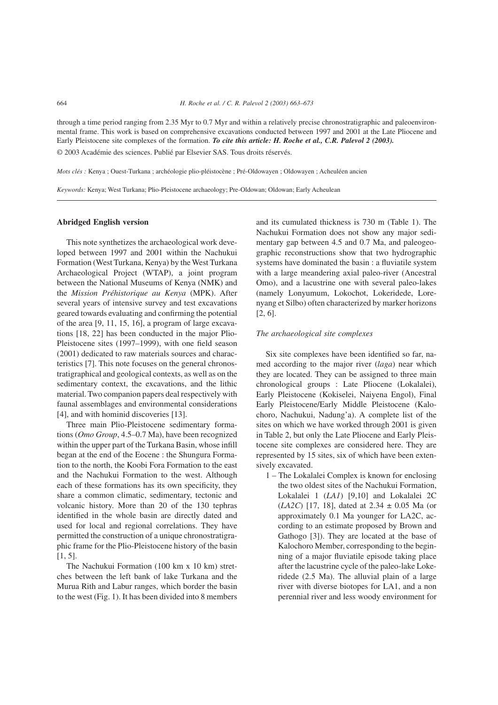through a time period ranging from 2.35 Myr to 0.7 Myr and within a relatively precise chronostratigraphic and paleoenvironmental frame. This work is based on comprehensive excavations conducted between 1997 and 2001 at the Late Pliocene and Early Pleistocene site complexes of the formation. *To cite this article: H. Roche et al., C.R. Palevol 2 (2003).* © 2003 Académie des sciences. Publié par Elsevier SAS. Tous droits réservés.

*Mots clés :* Kenya ; Ouest-Turkana ; archéologie plio-pléistocène ; Pré-Oldowayen ; Oldowayen ; Acheuléen ancien

*Keywords:* Kenya; West Turkana; Plio-Pleistocene archaeology; Pre-Oldowan; Oldowan; Early Acheulean

### **Abridged English version**

This note synthetizes the archaeological work developed between 1997 and 2001 within the Nachukui Formation (West Turkana, Kenya) by the West Turkana Archaeological Project (WTAP), a joint program between the National Museums of Kenya (NMK) and the *Mission Préhistorique au Kenya* (MPK). After several years of intensive survey and test excavations geared towards evaluating and confirming the potential of the area [9, 11, 15, 16], a program of large excavations [18, 22] has been conducted in the major Plio-Pleistocene sites (1997–1999), with one field season (2001) dedicated to raw materials sources and characteristics [7]. This note focuses on the general chronostratigraphical and geological contexts, as well as on the sedimentary context, the excavations, and the lithic material. Two companion papers deal respectively with faunal assemblages and environmental considerations [4], and with hominid discoveries [13].

Three main Plio-Pleistocene sedimentary formations (*Omo Group*, 4.5–0.7 Ma), have been recognized within the upper part of the Turkana Basin, whose infill began at the end of the Eocene : the Shungura Formation to the north, the Koobi Fora Formation to the east and the Nachukui Formation to the west. Although each of these formations has its own specificity, they share a common climatic, sedimentary, tectonic and volcanic history. More than 20 of the 130 tephras identified in the whole basin are directly dated and used for local and regional correlations. They have permitted the construction of a unique chronostratigraphic frame for the Plio-Pleistocene history of the basin  $[1, 5]$ .

The Nachukui Formation (100 km x 10 km) stretches between the left bank of lake Turkana and the Murua Rith and Labur ranges, which border the basin to the west (Fig. 1). It has been divided into 8 members and its cumulated thickness is 730 m (Table 1). The Nachukui Formation does not show any major sedimentary gap between 4.5 and 0.7 Ma, and paleogeographic reconstructions show that two hydrographic systems have dominated the basin : a fluviatile system with a large meandering axial paleo-river (Ancestral Omo), and a lacustrine one with several paleo-lakes (namely Lonyumum, Lokochot, Lokeridede, Lorenyang et Silbo) often characterized by marker horizons [2, 6].

## *The archaeological site complexes*

Six site complexes have been identified so far, named according to the major river (*laga*) near which they are located. They can be assigned to three main chronological groups : Late Pliocene (Lokalalei), Early Pleistocene (Kokiselei, Naiyena Engol), Final Early Pleistocene/Early Middle Pleistocene (Kalochoro, Nachukui, Nadung'a). A complete list of the sites on which we have worked through 2001 is given in Table 2, but only the Late Pliocene and Early Pleistocene site complexes are considered here. They are represented by 15 sites, six of which have been extensively excavated.

1 – The Lokalalei Complex is known for enclosing the two oldest sites of the Nachukui Formation, Lokalalei 1 (*LA1*) [9,10] and Lokalalei 2C (*LA2C*) [17, 18], dated at 2.34 ± 0.05 Ma (or approximately 0.1 Ma younger for LA2C, according to an estimate proposed by Brown and Gathogo [3]). They are located at the base of Kalochoro Member, corresponding to the beginning of a major fluviatile episode taking place after the lacustrine cycle of the paleo-lake Lokeridede (2.5 Ma). The alluvial plain of a large river with diverse biotopes for LA1, and a non perennial river and less woody environment for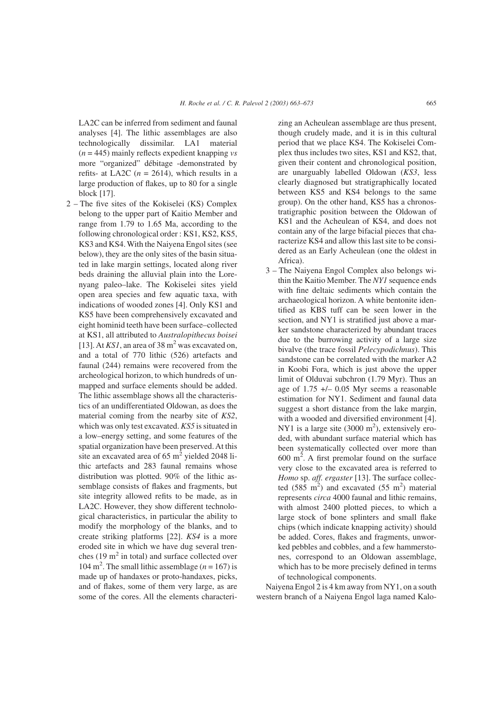LA2C can be inferred from sediment and faunal analyses [4]. The lithic assemblages are also technologically dissimilar. LA1 material (*n* = 445) mainly reflects expedient knapping *vs* more "organized" débitage -demonstrated by refits- at LA2C  $(n = 2614)$ , which results in a large production of flakes, up to 80 for a single block [17].

2 – The five sites of the Kokiselei (KS) Complex belong to the upper part of Kaitio Member and range from 1.79 to 1.65 Ma, according to the following chronological order : KS1, KS2, KS5, KS3 and KS4. With the Naiyena Engol sites (see below), they are the only sites of the basin situated in lake margin settings, located along river beds draining the alluvial plain into the Lorenyang paleo–lake. The Kokiselei sites yield open area species and few aquatic taxa, with indications of wooded zones [4]. Only KS1 and KS5 have been comprehensively excavated and eight hominid teeth have been surface–collected at KS1, all attributed to *Australopithecus boisei* [13]. At  $KSI$ , an area of 38 m<sup>2</sup> was excavated on, and a total of 770 lithic (526) artefacts and faunal (244) remains were recovered from the archeological horizon, to which hundreds of unmapped and surface elements should be added. The lithic assemblage shows all the characteristics of an undifferentiated Oldowan, as does the material coming from the nearby site of *KS2*, which was only test excavated. *KS5* is situated in a low–energy setting, and some features of the spatial organization have been preserved. At this site an excavated area of  $65 \text{ m}^2$  yielded 2048 lithic artefacts and 283 faunal remains whose distribution was plotted. 90% of the lithic assemblage consists of flakes and fragments, but site integrity allowed refits to be made, as in LA2C. However, they show different technological characteristics, in particular the ability to modify the morphology of the blanks, and to create striking platforms [22]. *KS4* is a more eroded site in which we have dug several trenches (19  $m<sup>2</sup>$  in total) and surface collected over 104 m<sup>2</sup>. The small lithic assemblage ( $n = 167$ ) is made up of handaxes or proto-handaxes, picks, and of flakes, some of them very large, as are some of the cores. All the elements characterizing an Acheulean assemblage are thus present, though crudely made, and it is in this cultural period that we place KS4. The Kokiselei Complex thus includes two sites, KS1 and KS2, that, given their content and chronological position, are unarguably labelled Oldowan (*KS3*, less clearly diagnosed but stratigraphically located between KS5 and KS4 belongs to the same group). On the other hand, KS5 has a chronostratigraphic position between the Oldowan of KS1 and the Acheulean of KS4, and does not contain any of the large bifacial pieces that characterize KS4 and allow this last site to be considered as an Early Acheulean (one the oldest in Africa).

3 – The Naiyena Engol Complex also belongs within the Kaitio Member. The *NY1* sequence ends with fine deltaic sediments which contain the archaeological horizon. A white bentonite identified as KBS tuff can be seen lower in the section, and NY1 is stratified just above a marker sandstone characterized by abundant traces due to the burrowing activity of a large size bivalve (the trace fossil *Pelecypodichnus*). This sandstone can be correlated with the marker A2 in Koobi Fora, which is just above the upper limit of Olduvai subchron (1.79 Myr). Thus an age of 1.75 +/– 0.05 Myr seems a reasonable estimation for NY1. Sediment and faunal data suggest a short distance from the lake margin, with a wooded and diversified environment [4]. NY1 is a large site  $(3000 \text{ m}^2)$ , extensively eroded, with abundant surface material which has been systematically collected over more than  $600 \text{ m}^2$ . A first premolar found on the surface very close to the excavated area is referred to *Homo* sp. *aff. ergaster* [13]. The surface collected  $(585 \text{ m}^2)$  and excavated  $(55 \text{ m}^2)$  material represents *circa* 4000 faunal and lithic remains, with almost 2400 plotted pieces, to which a large stock of bone splinters and small flake chips (which indicate knapping activity) should be added. Cores, flakes and fragments, unworked pebbles and cobbles, and a few hammerstones, correspond to an Oldowan assemblage, which has to be more precisely defined in terms of technological components.

Naiyena Engol 2 is 4 km away from NY1, on a south western branch of a Naiyena Engol laga named Kalo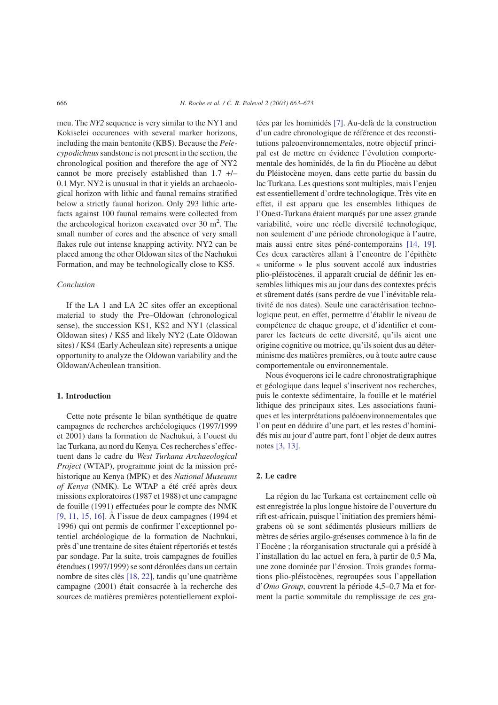meu. The *NY2* sequence is very similar to the NY1 and Kokiselei occurences with several marker horizons, including the main bentonite (KBS). Because the *Pelecypodichnus*sandstone is not present in the section, the chronological position and therefore the age of NY2 cannot be more precisely established than 1.7 +/– 0.1 Myr. NY2 is unusual in that it yields an archaeological horizon with lithic and faunal remains stratified below a strictly faunal horizon. Only 293 lithic artefacts against 100 faunal remains were collected from the archeological horizon excavated over  $30 \text{ m}^2$ . The small number of cores and the absence of very small flakes rule out intense knapping activity. NY2 can be placed among the other Oldowan sites of the Nachukui Formation, and may be technologically close to KS5.

# *Conclusion*

If the LA 1 and LA 2C sites offer an exceptional material to study the Pre–Oldowan (chronological sense), the succession KS1, KS2 and NY1 (classical Oldowan sites) / KS5 and likely NY2 (Late Oldowan sites) / KS4 (Early Acheulean site) represents a unique opportunity to analyze the Oldowan variability and the Oldowan/Acheulean transition.

## **1. Introduction**

Cette note présente le bilan synthétique de quatre campagnes de recherches archéologiques (1997/1999 et 2001) dans la formation de Nachukui, à l'ouest du lac Turkana, au nord du Kenya. Ces recherches s'effectuent dans le cadre du *West Turkana Archaeological Project* (WTAP), programme joint de la mission préhistorique au Kenya (MPK) et des *National Museums of Kenya* (NMK). Le WTAP a été créé après deux missions exploratoires (1987 et 1988) et une campagne de fouille (1991) effectuées pour le compte des NMK [\[9, 11, 15, 16\].](#page-10-0) À l'issue de deux campagnes (1994 et 1996) qui ont permis de confirmer l'exceptionnel potentiel archéologique de la formation de Nachukui, près d'une trentaine de sites étaient répertoriés et testés par sondage. Par la suite, trois campagnes de fouilles étendues (1997/1999) se sont déroulées dans un certain nombre de sites clés [\[18, 22\],](#page-10-0) tandis qu'une quatrième campagne (2001) était consacrée à la recherche des sources de matières premières potentiellement exploitées par les hominidés [\[7\].](#page-10-0) Au-delà de la construction d'un cadre chronologique de référence et des reconstitutions paleoenvironnementales, notre objectif principal est de mettre en évidence l'évolution comportementale des hominidés, de la fin du Pliocène au début du Pléistocène moyen, dans cette partie du bassin du lac Turkana. Les questions sont multiples, mais l'enjeu est essentiellement d'ordre technologique. Très vite en effet, il est apparu que les ensembles lithiques de l'Ouest-Turkana étaient marqués par une assez grande variabilité, voire une réelle diversité technologique, non seulement d'une période chronologique à l'autre, mais aussi entre sites péné-contemporains [\[14, 19\].](#page-10-0) Ces deux caractères allant à l'encontre de l'épithète « uniforme » le plus souvent accolé aux industries plio-pléistocènes, il apparaît crucial de définir les ensembles lithiques mis au jour dans des contextes précis et sûrement datés (sans perdre de vue l'inévitable relativité de nos dates). Seule une caractérisation technologique peut, en effet, permettre d'établir le niveau de compétence de chaque groupe, et d'identifier et comparer les facteurs de cette diversité, qu'ils aient une origine cognitive ou motrice, qu'ils soient dus au déterminisme des matières premières, ou à toute autre cause comportementale ou environnementale.

Nous évoquerons ici le cadre chronostratigraphique et géologique dans lequel s'inscrivent nos recherches, puis le contexte sédimentaire, la fouille et le matériel lithique des principaux sites. Les associations fauniques et les interprétations paléoenvironnementales que l'on peut en déduire d'une part, et les restes d'hominidés mis au jour d'autre part, font l'objet de deux autres notes [\[3, 13\].](#page-10-0)

#### **2. Le cadre**

La région du lac Turkana est certainement celle où est enregistrée la plus longue histoire de l'ouverture du rift est-africain, puisque l'initiation des premiers hémigrabens où se sont sédimentés plusieurs milliers de mètres de séries argilo-gréseuses commence à la fin de l'Eocène ; la réorganisation structurale qui a présidé à l'installation du lac actuel en fera, à partir de 0,5 Ma, une zone dominée par l'érosion. Trois grandes formations plio-pléistocènes, regroupées sous l'appellation d'*Omo Group*, couvrent la période 4,5–0,7 Ma et forment la partie sommitale du remplissage de ces gra-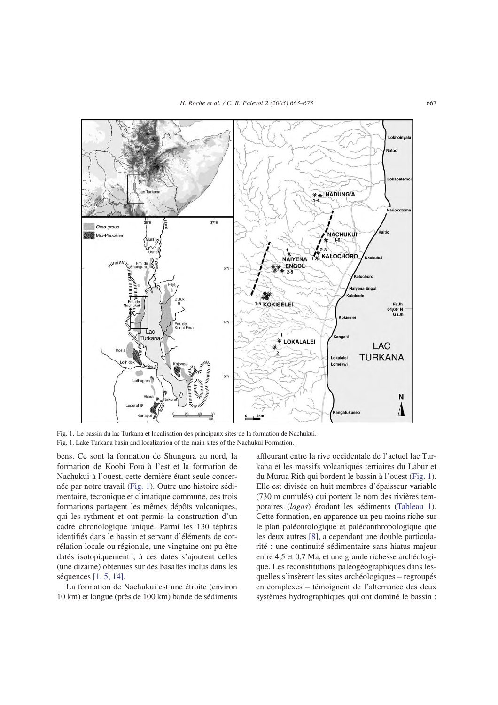<span id="page-4-0"></span>

Fig. 1. Le bassin du lac Turkana et localisation des principaux sites de la formation de Nachukui. Fig. 1. Lake Turkana basin and localization of the main sites of the Nachukui Formation.

bens. Ce sont la formation de Shungura au nord, la formation de Koobi Fora à l'est et la formation de Nachukui à l'ouest, cette dernière étant seule concernée par notre travail (Fig. 1). Outre une histoire sédimentaire, tectonique et climatique commune, ces trois formations partagent les mêmes dépôts volcaniques, qui les rythment et ont permis la construction d'un cadre chronologique unique. Parmi les 130 téphras identifiés dans le bassin et servant d'éléments de corrélation locale ou régionale, une vingtaine ont pu être datés isotopiquement ; à ces dates s'ajoutent celles (une dizaine) obtenues sur des basaltes inclus dans les séquences [\[1, 5, 14\].](#page-10-0)

La formation de Nachukui est une étroite (environ 10 km) et longue (près de 100 km) bande de sédiments affleurant entre la rive occidentale de l'actuel lac Turkana et les massifs volcaniques tertiaires du Labur et du Murua Rith qui bordent le bassin à l'ouest (Fig. 1). Elle est divisée en huit membres d'épaisseur variable (730 m cumulés) qui portent le nom des rivières temporaires (*lagas*) érodant les sédiments [\(Tableau 1\)](#page-5-0). Cette formation, en apparence un peu moins riche sur le plan paléontologique et paléoanthropologique que les deux autres [\[8\],](#page-10-0) a cependant une double particularité : une continuité sédimentaire sans hiatus majeur entre 4,5 et 0,7 Ma, et une grande richesse archéologique. Les reconstitutions paléogéographiques dans lesquelles s'insèrent les sites archéologiques – regroupés en complexes – témoignent de l'alternance des deux systèmes hydrographiques qui ont dominé le bassin :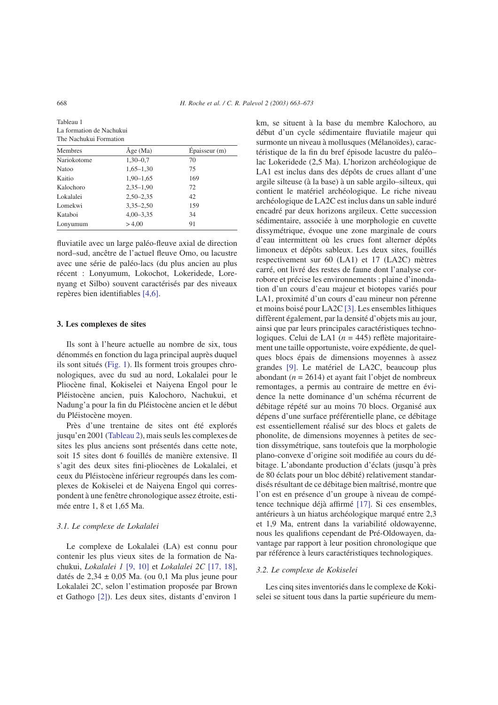<span id="page-5-0"></span>Tableau 1 La formation de Nachukui The Nachukui Formation

| <b>Membres</b> | $\hat{A}$ ge (Ma) | Épaisseur(m) |  |  |
|----------------|-------------------|--------------|--|--|
| Nariokotome    | $1.30 - 0.7$      | 70           |  |  |
| <b>Natoo</b>   | $1,65-1,30$       | 75           |  |  |
| Kaitio         | $1,90-1,65$       | 169          |  |  |
| Kalochoro      | $2,35-1,90$       | 72           |  |  |
| Lokalalei      | $2,50 - 2,35$     | 42           |  |  |
| Lomekwi        | $3,35 - 2,50$     | 159          |  |  |
| Kataboi        | $4,00-3,35$       | 34           |  |  |
| Lonyumum       | > 4,00            | 91           |  |  |
|                |                   |              |  |  |

fluviatile avec un large paléo-fleuve axial de direction nord–sud, ancêtre de l'actuel fleuve Omo, ou lacustre avec une série de paléo-lacs (du plus ancien au plus récent : Lonyumum, Lokochot, Lokeridede, Lorenyang et Silbo) souvent caractérisés par des niveaux repères bien identifiables [\[4,6\].](#page-10-0)

# **3. Les complexes de sites**

Ils sont à l'heure actuelle au nombre de six, tous dénommés en fonction du laga principal auprès duquel ils sont situés [\(Fig. 1\)](#page-4-0). Ils forment trois groupes chronologiques, avec du sud au nord, Lokalalei pour le Pliocène final, Kokiselei et Naiyena Engol pour le Pléistocène ancien, puis Kalochoro, Nachukui, et Nadung'a pour la fin du Pléistocène ancien et le début du Pléistocène moyen.

Près d'une trentaine de sites ont été explorés jusqu'en 2001 [\(Tableau 2\)](#page-6-0), mais seuls les complexes de sites les plus anciens sont présentés dans cette note, soit 15 sites dont 6 fouillés de manière extensive. Il s'agit des deux sites fini-pliocènes de Lokalalei, et ceux du Pléistocène inférieur regroupés dans les complexes de Kokiselei et de Naiyena Engol qui correspondent à une fenêtre chronologique assez étroite, estimée entre 1, 8 et 1,65 Ma.

# *3.1. Le complexe de Lokalalei*

Le complexe de Lokalalei (LA) est connu pour contenir les plus vieux sites de la formation de Nachukui, *Lokalalei 1* [\[9, 10\]](#page-10-0) et *Lokalalei 2C* [\[17, 18\],](#page-10-0) datés de 2,34 ± 0,05 Ma. (ou 0,1 Ma plus jeune pour Lokalalei 2C, selon l'estimation proposée par Brown et Gathogo [\[2\]\)](#page-10-0). Les deux sites, distants d'environ 1

km, se situent à la base du membre Kalochoro, au début d'un cycle sédimentaire fluviatile majeur qui surmonte un niveau à mollusques (Mélanoïdes), caractéristique de la fin du bref épisode lacustre du paléo– lac Lokeridede (2,5 Ma). L'horizon archéologique de LA1 est inclus dans des dépôts de crues allant d'une argile silteuse (à la base) à un sable argilo–silteux, qui contient le matériel archéologique. Le riche niveau archéologique de LA2C est inclus dans un sable induré encadré par deux horizons argileux. Cette succession sédimentaire, associée à une morphologie en cuvette dissymétrique, évoque une zone marginale de cours d'eau intermittent où les crues font alterner dépôts limoneux et dépôts sableux. Les deux sites, fouillés respectivement sur 60 (LA1) et 17 (LA2C) mètres carré, ont livré des restes de faune dont l'analyse corrobore et précise les environnements : plaine d'inondation d'un cours d'eau majeur et biotopes variés pour LA1, proximité d'un cours d'eau mineur non pérenne et moins boisé pour LA2C [\[3\].](#page-10-0) Les ensembles lithiques diffèrent également, par la densité d'objets mis au jour, ainsi que par leurs principales caractéristiques technologiques. Celui de LA1 (*n* = 445) reflète majoritairement une taille opportuniste, voire expédiente, de quelques blocs épais de dimensions moyennes à assez grandes [\[9\].](#page-10-0) Le matériel de LA2C, beaucoup plus abondant ( $n = 2614$ ) et ayant fait l'objet de nombreux remontages, a permis au contraire de mettre en évidence la nette dominance d'un schéma récurrent de débitage répété sur au moins 70 blocs. Organisé aux dépens d'une surface préférentielle plane, ce débitage est essentiellement réalisé sur des blocs et galets de phonolite, de dimensions moyennes à petites de section dissymétrique, sans toutefois que la morphologie plano-convexe d'origine soit modifiée au cours du débitage. L'abondante production d'éclats (jusqu'à près de 80 éclats pour un bloc débité) relativement standardisés résultant de ce débitage bien maîtrisé, montre que l'on est en présence d'un groupe à niveau de compétence technique déjà affirmé [\[17\].](#page-10-0) Si ces ensembles, antérieurs à un hiatus archéologique marqué entre 2,3 et 1,9 Ma, entrent dans la variabilité oldowayenne, nous les qualifions cependant de Pré-Oldowayen, davantage par rapport à leur position chronologique que par référence à leurs caractéristiques technologiques.

#### *3.2. Le complexe de Kokiselei*

Les cinq sites inventoriés dans le complexe de Kokiselei se situent tous dans la partie supérieure du mem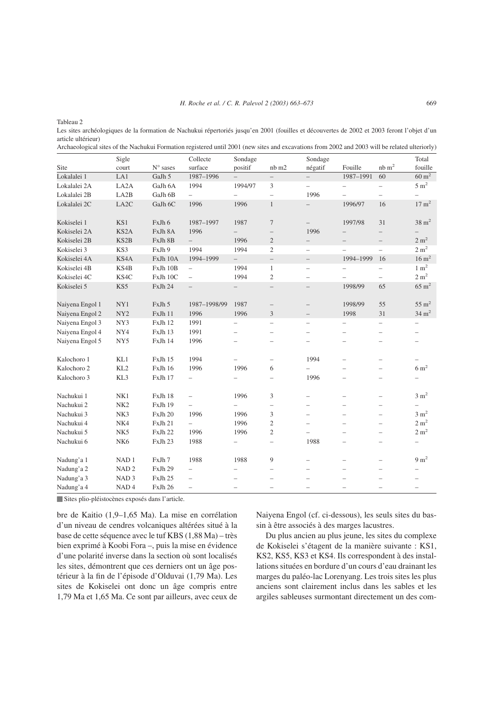<span id="page-6-0"></span>Tableau 2

Les sites archéologiques de la formation de Nachukui répertoriés jusqu'en 2001 (fouilles et découvertes de 2002 et 2003 feront l'objet d'un article ultérieur)

|  | Archaeological sites of the Nachukui Formation registered until 2001 (new sites and excavations from 2002 and 2003 will be related ulteriorly) |  |
|--|------------------------------------------------------------------------------------------------------------------------------------------------|--|
|--|------------------------------------------------------------------------------------------------------------------------------------------------|--|

|                 | Sigle             |                          | Collecte                 | Sondage                  |                          | Sondage                  |                                  |                          | Total            |
|-----------------|-------------------|--------------------------|--------------------------|--------------------------|--------------------------|--------------------------|----------------------------------|--------------------------|------------------|
| Site            | court             | $\mathrm{N}^\circ$ sases | surface                  | positif                  | nb m2                    | négatif                  | Fouille                          | $nb \, m^2$              | fouille          |
| Lokalalei 1     | LA1               | GaJh 5                   | 1987-1996                |                          |                          | $\overline{\phantom{0}}$ | 1987-1991                        | 60                       | $60 \text{ m}^2$ |
| Lokalalei 2A    | LA <sub>2</sub> A | GaJh 6A                  | 1994                     | 1994/97                  | 3                        | $\overline{a}$           | $\overbrace{\phantom{12322111}}$ | $\overline{\phantom{0}}$ | $5 \text{ m}^2$  |
| Lokalalei 2B    | LA <sub>2</sub> B | GaJh 6B                  | $\overline{\phantom{0}}$ | $\overline{\phantom{0}}$ | $\qquad \qquad -$        | 1996                     |                                  | $\overline{\phantom{0}}$ |                  |
| Lokalalei 2C    | LA2C              | GaJh 6C                  | 1996                     | 1996                     | $\mathbf{1}$             | $\overline{\phantom{0}}$ | 1996/97                          | 16                       | $17 \text{ m}^2$ |
| Kokiselei 1     | KS1               | FxJh 6                   | 1987-1997                | 1987                     | $\tau$                   | $\qquad \qquad -$        | 1997/98                          | 31                       | $38 \text{ m}^2$ |
| Kokiselei 2A    | KS <sub>2</sub> A | FxJh 8A                  | 1996                     | $\overline{\phantom{0}}$ | $\overline{\phantom{0}}$ | 1996                     |                                  |                          |                  |
| Kokiselei 2B    | KS <sub>2</sub> B | FxJh 8B                  | $\qquad \qquad -$        | 1996                     | $\overline{2}$           | $\qquad \qquad -$        | $\overline{\phantom{0}}$         | $\overline{\phantom{0}}$ | 2 m <sup>2</sup> |
| Kokiselei 3     | KS3               | FxJh 9                   | 1994                     | 1994                     | $\mathfrak{2}$           | $\overline{\phantom{0}}$ |                                  | $\overline{\phantom{0}}$ | 2 m <sup>2</sup> |
| Kokiselei 4A    | KS <sub>4</sub> A | FxJh 10A                 | 1994-1999                | $\overline{\phantom{0}}$ | $\qquad \qquad -$        | $\overline{\phantom{0}}$ | 1994-1999                        | 16                       | $16 \text{ m}^2$ |
| Kokiselei 4B    | KS4B              | FxJh 10B                 | $\overline{\phantom{0}}$ | 1994                     | $\mathbf{1}$             | $\overline{\phantom{0}}$ |                                  | $\overline{\phantom{0}}$ | $1 \text{ m}^2$  |
| Kokiselei 4C    | KS4C              | FxJh 10C                 | $\overline{\phantom{0}}$ | 1994                     | $\mathfrak{2}$           | $\qquad \qquad -$        |                                  | -                        | 2 m <sup>2</sup> |
| Kokiselei 5     | KS5               | FxJh 24                  | $\overline{\phantom{0}}$ | $\qquad \qquad -$        | $\overline{\phantom{0}}$ | $\overline{\phantom{0}}$ | 1998/99                          | 65                       | $65 \text{ m}^2$ |
| Naiyena Engol 1 | NY1               | FxJh 5                   | 1987-1998/99             | 1987                     | $\qquad \qquad -$        | $\qquad \qquad -$        | 1998/99                          | 55                       | $55 \text{ m}^2$ |
| Naiyena Engol 2 | NY <sub>2</sub>   | FxJh 11                  | 1996                     | 1996                     | 3                        | $\overline{\phantom{0}}$ | 1998                             | 31                       | $34 \text{ m}^2$ |
| Naiyena Engol 3 | NY3               | FxJh 12                  | 1991                     | $\qquad \qquad -$        | $\qquad \qquad -$        | $\overline{\phantom{0}}$ | $\overline{\phantom{0}}$         | $\overline{\phantom{0}}$ |                  |
| Naiyena Engol 4 | NY4               | FxJh 13                  | 1991                     | $\overline{\phantom{0}}$ | $\overline{\phantom{0}}$ | $\overline{\phantom{0}}$ | $\overline{\phantom{0}}$         | -                        |                  |
| Naiyena Engol 5 | NY <sub>5</sub>   | FxJh 14                  | 1996                     | $\overline{\phantom{m}}$ | $\qquad \qquad -$        | $\overline{\phantom{0}}$ | $\overline{\phantom{0}}$         | -                        |                  |
| Kalochoro 1     | KL1               | FxJh 15                  | 1994                     | $\qquad \qquad -$        | $\qquad \qquad -$        | 1994                     | $\overline{\phantom{0}}$         | -                        |                  |
| Kalochoro 2     | KL <sub>2</sub>   | FxJh 16                  | 1996                     | 1996                     | 6                        | $\overline{\phantom{0}}$ |                                  |                          | $6 \text{ m}^2$  |
| Kalochoro 3     | KL3               | FxJh 17                  | $\overline{\phantom{0}}$ | $\overline{\phantom{0}}$ | $\overline{\phantom{0}}$ | 1996                     | $\overline{\phantom{0}}$         | $\overline{\phantom{0}}$ |                  |
| Nachukui 1      | NK1               | FxJh 18                  | $\overline{\phantom{0}}$ | 1996                     | 3                        | $\overline{\phantom{0}}$ | $\overline{\phantom{0}}$         | $\overline{\phantom{0}}$ | 3 m <sup>2</sup> |
| Nachukui 2      | NK <sub>2</sub>   | FxJh 19                  | $\overline{\phantom{0}}$ | $\overline{\phantom{0}}$ | $\qquad \qquad -$        | $\overline{\phantom{0}}$ | $\overline{\phantom{0}}$         | $\overline{\phantom{0}}$ |                  |
| Nachukui 3      | NK3               | FxJh 20                  | 1996                     | 1996                     | 3                        | $\qquad \qquad -$        | $\overline{\phantom{0}}$         | -                        | $3 \text{ m}^2$  |
| Nachukui 4      | NK4               | FxJh 21                  | $\overline{\phantom{0}}$ | 1996                     | 2                        | $\overline{\phantom{0}}$ | $\overline{\phantom{0}}$         | -                        | 2 m <sup>2</sup> |
| Nachukui 5      | NK5               | FxJh 22                  | 1996                     | 1996                     | $\mathfrak{2}$           |                          | $\overline{\phantom{0}}$         | -                        | 2 m <sup>2</sup> |
| Nachukui 6      | NK <sub>6</sub>   | FxJh 23                  | 1988                     | $\overline{\phantom{a}}$ | $\qquad \qquad -$        | 1988                     | $\overline{\phantom{0}}$         | -                        |                  |
| Nadung'a 1      | NAD <sub>1</sub>  | FxJh 7                   | 1988                     | 1988                     | 9                        | $\overline{\phantom{0}}$ | $\overline{\phantom{0}}$         | $\overline{\phantom{0}}$ | $9 \text{ m}^2$  |
| Nadung'a 2      | NAD <sub>2</sub>  | FxJh 29                  | $\overline{\phantom{0}}$ | $\overline{\phantom{0}}$ | $\overline{\phantom{0}}$ | $\overline{\phantom{0}}$ | -                                | $\overline{\phantom{0}}$ |                  |
| Nadung'a 3      | NAD <sub>3</sub>  | FxJh 25                  | $\overline{\phantom{0}}$ | $\overline{\phantom{0}}$ | $\overline{\phantom{0}}$ | $\overline{\phantom{0}}$ |                                  |                          |                  |
| Nadung'a 4      | NAD <sub>4</sub>  | FxJh 26                  | $\overline{\phantom{0}}$ | $\overline{\phantom{0}}$ | $\overline{\phantom{0}}$ | $\overline{\phantom{0}}$ | $\qquad \qquad -$                | $\overline{\phantom{0}}$ |                  |

Sites plio-pléistocènes exposés dans l'article.

bre de Kaitio (1,9–1,65 Ma). La mise en corrélation d'un niveau de cendres volcaniques altérées situé à la base de cette séquence avec le tuf KBS (1,88 Ma) – très bien exprimé à Koobi Fora –, puis la mise en évidence d'une polarité inverse dans la section où sont localisés les sites, démontrent que ces derniers ont un âge postérieur à la fin de l'épisode d'Olduvai (1,79 Ma). Les sites de Kokiselei ont donc un âge compris entre 1,79 Ma et 1,65 Ma. Ce sont par ailleurs, avec ceux de

Naiyena Engol (cf. ci-dessous), les seuls sites du bassin à être associés à des marges lacustres.

Du plus ancien au plus jeune, les sites du complexe de Kokiselei s'étagent de la manière suivante : KS1, KS2, KS5, KS3 et KS4. Ils correspondent à des installations situées en bordure d'un cours d'eau drainant les marges du paléo-lac Lorenyang. Les trois sites les plus anciens sont clairement inclus dans les sables et les argiles sableuses surmontant directement un des com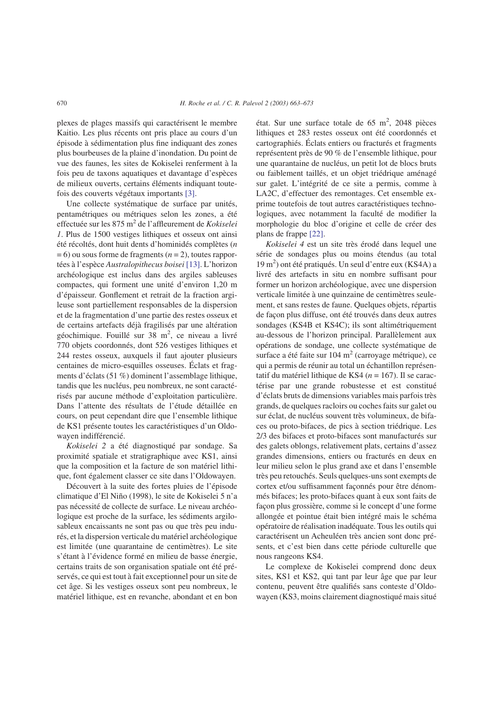plexes de plages massifs qui caractérisent le membre Kaitio. Les plus récents ont pris place au cours d'un épisode à sédimentation plus fine indiquant des zones plus bourbeuses de la plaine d'inondation. Du point de vue des faunes, les sites de Kokiselei renferment à la fois peu de taxons aquatiques et davantage d'espèces de milieux ouverts, certains éléments indiquant toutefois des couverts végétaux importants [\[3\].](#page-10-0)

Une collecte systématique de surface par unités, pentamétriques ou métriques selon les zones, a été effectuée sur les 875 m2 de l'affleurement de *Kokiselei 1*. Plus de 1500 vestiges lithiques et osseux ont ainsi été récoltés, dont huit dents d'hominidés complètes (*n* = 6) ou sous forme de fragments (*n* = 2), toutes rapportées à l'espèce *Australopithecus boisei* [\[13\].](#page-10-0) L'horizon archéologique est inclus dans des argiles sableuses compactes, qui forment une unité d'environ 1,20 m d'épaisseur. Gonflement et retrait de la fraction argileuse sont partiellement responsables de la dispersion et de la fragmentation d'une partie des restes osseux et de certains artefacts déjà fragilisés par une altération géochimique. Fouillé sur 38 m<sup>2</sup>, ce niveau a livré 770 objets coordonnés, dont 526 vestiges lithiques et 244 restes osseux, auxquels il faut ajouter plusieurs centaines de micro-esquilles osseuses. Éclats et fragments d'éclats (51 %) dominent l'assemblage lithique, tandis que les nucléus, peu nombreux, ne sont caractérisés par aucune méthode d'exploitation particulière. Dans l'attente des résultats de l'étude détaillée en cours, on peut cependant dire que l'ensemble lithique de KS1 présente toutes les caractéristiques d'un Oldowayen indifférencié.

*Kokiselei 2* a été diagnostiqué par sondage. Sa proximité spatiale et stratigraphique avec KS1, ainsi que la composition et la facture de son matériel lithique, font également classer ce site dans l'Oldowayen.

Découvert à la suite des fortes pluies de l'épisode climatique d'El Niño (1998), le site de Kokiselei 5 n'a pas nécessité de collecte de surface. Le niveau archéologique est proche de la surface, les sédiments argilosableux encaissants ne sont pas ou que très peu indurés, et la dispersion verticale du matériel archéologique est limitée (une quarantaine de centimètres). Le site s'étant à l'évidence formé en milieu de basse énergie, certains traits de son organisation spatiale ont été préservés, ce qui est tout à fait exceptionnel pour un site de cet âge. Si les vestiges osseux sont peu nombreux, le matériel lithique, est en revanche, abondant et en bon

état. Sur une surface totale de  $65 \text{ m}^2$ , 2048 pièces lithiques et 283 restes osseux ont été coordonnés et cartographiés. Éclats entiers ou fracturés et fragments représentent près de 90 % de l'ensemble lithique, pour une quarantaine de nucléus, un petit lot de blocs bruts ou faiblement taillés, et un objet triédrique aménagé sur galet. L'intégrité de ce site a permis, comme à LA2C, d'effectuer des remontages. Cet ensemble exprime toutefois de tout autres caractéristiques technologiques, avec notamment la faculté de modifier la morphologie du bloc d'origine et celle de créer des plans de frappe [\[22\].](#page-10-0)

*Kokiselei 4* est un site très érodé dans lequel une série de sondages plus ou moins étendus (au total 19 m<sup>2</sup> ) ont été pratiqués. Un seul d'entre eux (KS4A) a livré des artefacts in situ en nombre suffisant pour former un horizon archéologique, avec une dispersion verticale limitée à une quinzaine de centimètres seulement, et sans restes de faune. Quelques objets, répartis de façon plus diffuse, ont été trouvés dans deux autres sondages (KS4B et KS4C); ils sont altimétriquement au-dessous de l'horizon principal. Parallèlement aux opérations de sondage, une collecte systématique de surface a été faite sur  $104 \text{ m}^2$  (carroyage métrique), ce qui a permis de réunir au total un échantillon représentatif du matériel lithique de KS4 (*n* = 167). Il se caractérise par une grande robustesse et est constitué d'éclats bruts de dimensions variables mais parfois très grands, de quelques racloirs ou coches faits sur galet ou sur éclat, de nucléus souvent très volumineux, de bifaces ou proto-bifaces, de pics à section triédrique. Les 2/3 des bifaces et proto-bifaces sont manufacturés sur des galets oblongs, relativement plats, certains d'assez grandes dimensions, entiers ou fracturés en deux en leur milieu selon le plus grand axe et dans l'ensemble très peu retouchés. Seuls quelques-uns sont exempts de cortex et/ou suffisamment façonnés pour être dénommés bifaces; les proto-bifaces quant à eux sont faits de façon plus grossière, comme si le concept d'une forme allongée et pointue était bien intégré mais le schéma opératoire de réalisation inadéquate. Tous les outils qui caractérisent un Acheuléen très ancien sont donc présents, et c'est bien dans cette période culturelle que nous rangeons KS4.

Le complexe de Kokiselei comprend donc deux sites, KS1 et KS2, qui tant par leur âge que par leur contenu, peuvent être qualifiés sans conteste d'Oldowayen (KS3, moins clairement diagnostiqué mais situé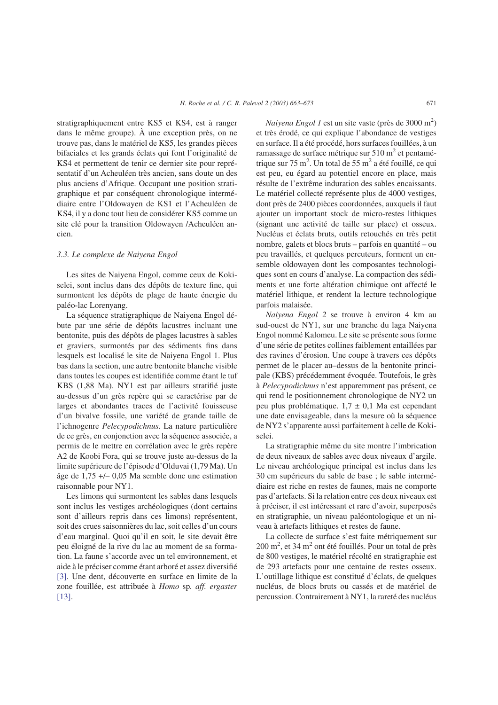stratigraphiquement entre KS5 et KS4, est à ranger dans le même groupe). À une exception près, on ne trouve pas, dans le matériel de KS5, les grandes pièces bifaciales et les grands éclats qui font l'originalité de KS4 et permettent de tenir ce dernier site pour représentatif d'un Acheuléen très ancien, sans doute un des plus anciens d'Afrique. Occupant une position stratigraphique et par conséquent chronologique intermédiaire entre l'Oldowayen de KS1 et l'Acheuléen de KS4, il y a donc tout lieu de considérer KS5 comme un site clé pour la transition Oldowayen /Acheuléen ancien.

# *3.3. Le complexe de Naiyena Engol*

Les sites de Naiyena Engol, comme ceux de Kokiselei, sont inclus dans des dépôts de texture fine, qui surmontent les dépôts de plage de haute énergie du paléo-lac Lorenyang.

La séquence stratigraphique de Naiyena Engol débute par une série de dépôts lacustres incluant une bentonite, puis des dépôts de plages lacustres à sables et graviers, surmontés par des sédiments fins dans lesquels est localisé le site de Naiyena Engol 1. Plus bas dans la section, une autre bentonite blanche visible dans toutes les coupes est identifiée comme étant le tuf KBS (1,88 Ma). NY1 est par ailleurs stratifié juste au-dessus d'un grès repère qui se caractérise par de larges et abondantes traces de l'activité fouisseuse d'un bivalve fossile, une variété de grande taille de l'ichnogenre *Pelecypodichnus*. La nature particulière de ce grès, en conjonction avec la séquence associée, a permis de le mettre en corrélation avec le grès repère A2 de Koobi Fora, qui se trouve juste au-dessus de la limite supérieure de l'épisode d'Olduvai (1,79 Ma). Un âge de 1,75 +/– 0,05 Ma semble donc une estimation raisonnable pour NY1.

Les limons qui surmontent les sables dans lesquels sont inclus les vestiges archéologiques (dont certains sont d'ailleurs repris dans ces limons) représentent, soit des crues saisonnières du lac, soit celles d'un cours d'eau marginal. Quoi qu'il en soit, le site devait être peu éloigné de la rive du lac au moment de sa formation. La faune s'accorde avec un tel environnement, et aide à le préciser comme étant arboré et assez diversifié [\[3\].](#page-10-0) Une dent, découverte en surface en limite de la zone fouillée, est attribuée à *Homo* sp*. aff. ergaster* [\[13\].](#page-10-0)

*Naiyena Engol 1* est un site vaste (près de 3000 m2 ) et très érodé, ce qui explique l'abondance de vestiges en surface. Il a été procédé, hors surfaces fouillées, à un ramassage de surface métrique sur  $510 \text{ m}^2$  et pentamétrique sur 75 m<sup>2</sup>. Un total de 55 m<sup>2</sup> a été fouillé, ce qui est peu, eu égard au potentiel encore en place, mais résulte de l'extrême induration des sables encaissants. Le matériel collecté représente plus de 4000 vestiges, dont près de 2400 pièces coordonnées, auxquels il faut ajouter un important stock de micro-restes lithiques (signant une activité de taille sur place) et osseux. Nucléus et éclats bruts, outils retouchés en très petit nombre, galets et blocs bruts – parfois en quantité – ou peu travaillés, et quelques percuteurs, forment un ensemble oldowayen dont les composantes technologiques sont en cours d'analyse. La compaction des sédiments et une forte altération chimique ont affecté le matériel lithique, et rendent la lecture technologique parfois malaisée.

*Naiyena Engol 2* se trouve à environ 4 km au sud-ouest de NY1, sur une branche du laga Naiyena Engol nommé Kalomeu. Le site se présente sous forme d'une série de petites collines faiblement entaillées par des ravines d'érosion. Une coupe à travers ces dépôts permet de le placer au–dessus de la bentonite principale (KBS) précédemment évoquée. Toutefois, le grès à *Pelecypodichnus* n'est apparemment pas présent, ce qui rend le positionnement chronologique de NY2 un peu plus problématique.  $1,7 \pm 0,1$  Ma est cependant une date envisageable, dans la mesure où la séquence de NY2 s'apparente aussi parfaitement à celle de Kokiselei.

La stratigraphie même du site montre l'imbrication de deux niveaux de sables avec deux niveaux d'argile. Le niveau archéologique principal est inclus dans les 30 cm supérieurs du sable de base ; le sable intermédiaire est riche en restes de faunes, mais ne comporte pas d'artefacts. Si la relation entre ces deux niveaux est à préciser, il est intéressant et rare d'avoir, superposés en stratigraphie, un niveau paléontologique et un niveau à artefacts lithiques et restes de faune.

La collecte de surface s'est faite métriquement sur 200 m<sup>2</sup>, et 34 m<sup>2</sup> ont été fouillés. Pour un total de près de 800 vestiges, le matériel récolté en stratigraphie est de 293 artefacts pour une centaine de restes osseux. L'outillage lithique est constitué d'éclats, de quelques nucléus, de blocs bruts ou cassés et de matériel de percussion. Contrairement à NY1, la rareté des nucléus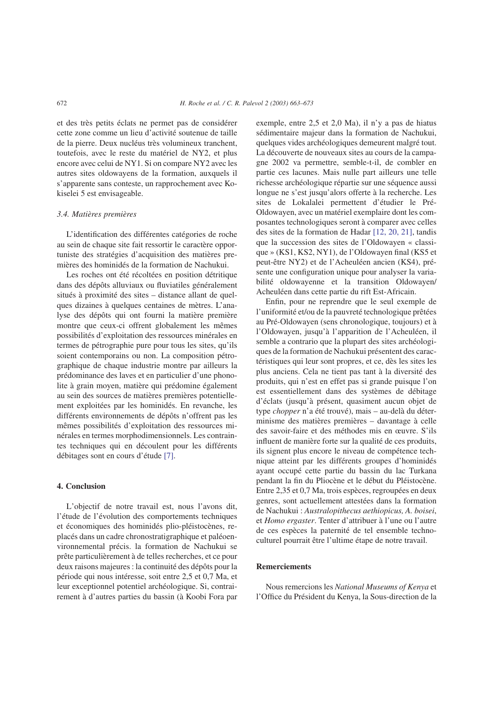et des très petits éclats ne permet pas de considérer cette zone comme un lieu d'activité soutenue de taille de la pierre. Deux nucléus très volumineux tranchent, toutefois, avec le reste du matériel de NY2, et plus encore avec celui de NY1. Si on compare NY2 avec les autres sites oldowayens de la formation, auxquels il s'apparente sans conteste, un rapprochement avec Kokiselei 5 est envisageable.

# *3.4. Matières premières*

L'identification des différentes catégories de roche au sein de chaque site fait ressortir le caractère opportuniste des stratégies d'acquisition des matières premières des hominidés de la formation de Nachukui.

Les roches ont été récoltées en position détritique dans des dépôts alluviaux ou fluviatiles généralement situés à proximité des sites – distance allant de quelques dizaines à quelques centaines de mètres. L'analyse des dépôts qui ont fourni la matière première montre que ceux-ci offrent globalement les mêmes possibilités d'exploitation des ressources minérales en termes de pétrographie pure pour tous les sites, qu'ils soient contemporains ou non. La composition pétrographique de chaque industrie montre par ailleurs la prédominance des laves et en particulier d'une phonolite à grain moyen, matière qui prédomine également au sein des sources de matières premières potentiellement exploitées par les hominidés. En revanche, les différents environnements de dépôts n'offrent pas les mêmes possibilités d'exploitation des ressources minérales en termes morphodimensionnels. Les contraintes techniques qui en découlent pour les différents débitages sont en cours d'étude [\[7\].](#page-10-0)

## **4. Conclusion**

L'objectif de notre travail est, nous l'avons dit, l'étude de l'évolution des comportements techniques et économiques des hominidés plio-pléistocènes, replacés dans un cadre chronostratigraphique et paléoenvironnemental précis. la formation de Nachukui se prête particulièrement à de telles recherches, et ce pour deux raisons majeures : la continuité des dépôts pour la période qui nous intéresse, soit entre 2,5 et 0,7 Ma, et leur exceptionnel potentiel archéologique. Si, contrairement à d'autres parties du bassin (à Koobi Fora par exemple, entre 2,5 et 2,0 Ma), il n'y a pas de hiatus sédimentaire majeur dans la formation de Nachukui, quelques vides archéologiques demeurent malgré tout. La découverte de nouveaux sites au cours de la campagne 2002 va permettre, semble-t-il, de combler en partie ces lacunes. Mais nulle part ailleurs une telle richesse archéologique répartie sur une séquence aussi longue ne s'est jusqu'alors offerte à la recherche. Les sites de Lokalalei permettent d'étudier le Pré-Oldowayen, avec un matériel exemplaire dont les composantes technologiques seront à comparer avec celles des sites de la formation de Hadar [\[12, 20, 21\],](#page-10-0) tandis que la succession des sites de l'Oldowayen « classique » (KS1, KS2, NY1), de l'Oldowayen final (KS5 et peut-être NY2) et de l'Acheuléen ancien (KS4), présente une configuration unique pour analyser la variabilité oldowayenne et la transition Oldowayen/ Acheuléen dans cette partie du rift Est-Africain.

Enfin, pour ne reprendre que le seul exemple de l'uniformité et/ou de la pauvreté technologique prêtées au Pré-Oldowayen (sens chronologique, toujours) et à l'Oldowayen, jusqu'à l'apparition de l'Acheuléen, il semble a contrario que la plupart des sites archéologiques de la formation de Nachukui présentent des caractéristiques qui leur sont propres, et ce, dès les sites les plus anciens. Cela ne tient pas tant à la diversité des produits, qui n'est en effet pas si grande puisque l'on est essentiellement dans des systèmes de débitage d'éclats (jusqu'à présent, quasiment aucun objet de type *chopper* n'a été trouvé), mais – au-delà du déterminisme des matières premières – davantage à celle des savoir-faire et des méthodes mis en œuvre. S'ils influent de manière forte sur la qualité de ces produits, ils signent plus encore le niveau de compétence technique atteint par les différents groupes d'hominidés ayant occupé cette partie du bassin du lac Turkana pendant la fin du Pliocène et le début du Pléistocène. Entre 2,35 et 0,7 Ma, trois espèces, regroupées en deux genres, sont actuellement attestées dans la formation de Nachukui : *Australopithecus aethiopicus, A. boisei*, et *Homo ergaster*. Tenter d'attribuer à l'une ou l'autre de ces espèces la paternité de tel ensemble technoculturel pourrait être l'ultime étape de notre travail.

# **Remerciements**

Nous remercions les *National Museums of Kenya* et l'Office du Président du Kenya, la Sous-direction de la